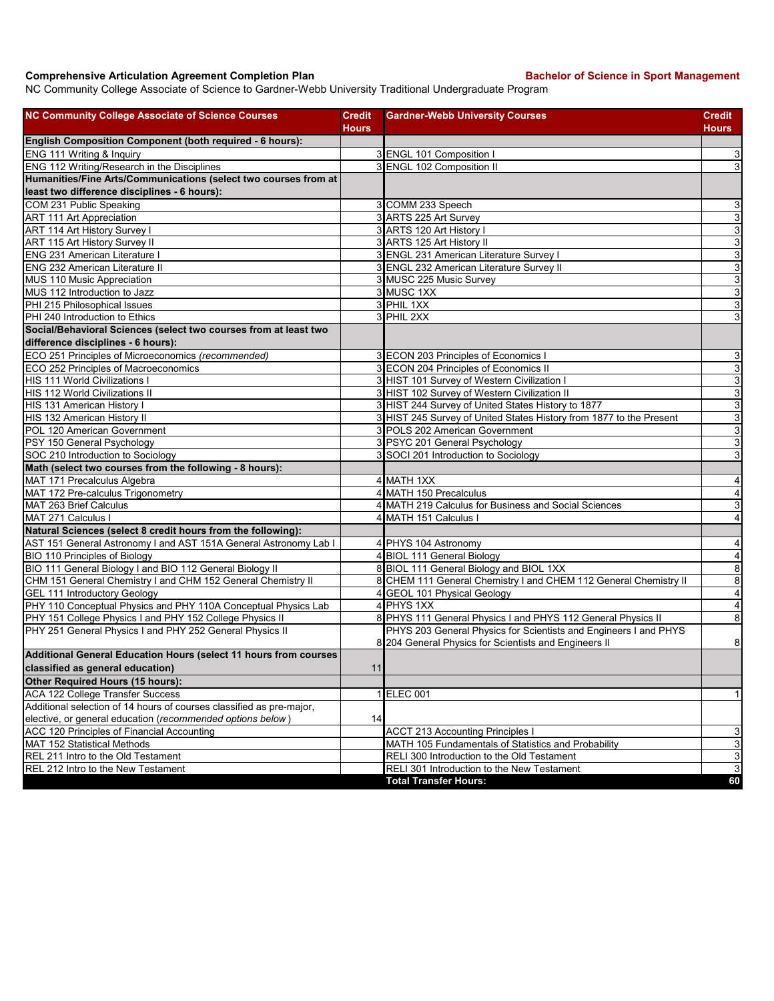## **Comprehensive Articulation Agreement Completion Plan Backelor of Science in Sport Management**

NC Community College Associate of Science to Gardner-Webb University Traditional Undergraduate Program

| <b>NC Community College Associate of Science Courses</b>                                                       | <b>Credit</b> | <b>Gardner-Webb University Courses</b>                                                                      | <b>Credit</b>                                      |
|----------------------------------------------------------------------------------------------------------------|---------------|-------------------------------------------------------------------------------------------------------------|----------------------------------------------------|
|                                                                                                                | Hours         |                                                                                                             | <b>Hours</b>                                       |
| English Composition Component (both required - 6 hours):                                                       |               |                                                                                                             |                                                    |
| ENG 111 Writing & Inquiry                                                                                      |               | 3 ENGL 101 Composition I                                                                                    | 3                                                  |
| ENG 112 Writing/Research in the Disciplines<br>Humanities/Fine Arts/Communications (select two courses from at |               | 3 ENGL 102 Composition II                                                                                   | 3                                                  |
| least two difference disciplines - 6 hours):                                                                   |               |                                                                                                             |                                                    |
|                                                                                                                |               |                                                                                                             |                                                    |
| COM 231 Public Speaking                                                                                        |               | 3 COMM 233 Speech                                                                                           | 3                                                  |
| <b>ART 111 Art Appreciation</b>                                                                                |               | 3 ARTS 225 Art Survey                                                                                       | 3                                                  |
| ART 114 Art History Survey I                                                                                   |               | 3 ARTS 120 Art History I<br>3 ARTS 125 Art History II                                                       | <u>ა  ა</u>                                        |
| ART 115 Art History Survey II                                                                                  |               |                                                                                                             |                                                    |
| <b>ENG 231 American Literature I</b>                                                                           |               | 3 ENGL 231 American Literature Survey I                                                                     | $\mathbf{3}$<br>$\overline{3}$                     |
| <b>ENG 232 American Literature II</b>                                                                          |               | 3 ENGL 232 American Literature Survey II                                                                    |                                                    |
| MUS 110 Music Appreciation<br>MUS 112 Introduction to Jazz                                                     |               | 3 MUSC 225 Music Survey<br>3 MUSC 1XX                                                                       | $\mathbf{3}$<br>3                                  |
| PHI 215 Philosophical Issues                                                                                   |               | 3 PHIL 1XX                                                                                                  | $\overline{3}$                                     |
| PHI 240 Introduction to Ethics                                                                                 |               | 3 PHIL 2XX                                                                                                  |                                                    |
|                                                                                                                |               |                                                                                                             | $\overline{3}$                                     |
| Social/Behavioral Sciences (select two courses from at least two                                               |               |                                                                                                             |                                                    |
| difference disciplines - 6 hours):                                                                             |               |                                                                                                             |                                                    |
| ECO 251 Principles of Microeconomics (recommended)                                                             |               | 3 ECON 203 Principles of Economics I                                                                        | 3                                                  |
| ECO 252 Principles of Macroeconomics                                                                           |               | 3 ECON 204 Principles of Economics II                                                                       | 3                                                  |
| HIS 111 World Civilizations I                                                                                  |               | 3 HIST 101 Survey of Western Civilization I                                                                 | $\overline{3}$                                     |
| HIS 112 World Civilizations II                                                                                 |               | 3 HIST 102 Survey of Western Civilization II                                                                | $\mathbf{3}$                                       |
| HIS 131 American History I                                                                                     |               | 3 HIST 244 Survey of United States History to 1877                                                          | $\mathbf{3}$                                       |
| HIS 132 American History II                                                                                    |               | 3 HIST 245 Survey of United States History from 1877 to the Present                                         | $\overline{3}$                                     |
| POL 120 American Government                                                                                    |               | 3 POLS 202 American Government                                                                              | $\ensuremath{\mathsf{3}}$                          |
| PSY 150 General Psychology<br>SOC 210 Introduction to Sociology                                                |               | 3 PSYC 201 General Psychology                                                                               | $\overline{3}$                                     |
| Math (select two courses from the following - 8 hours):                                                        |               | 3 SOCI 201 Introduction to Sociology                                                                        | 3                                                  |
|                                                                                                                |               |                                                                                                             |                                                    |
| MAT 171 Precalculus Algebra                                                                                    |               | 4 MATH 1XX                                                                                                  | 4                                                  |
| MAT 172 Pre-calculus Trigonometry<br>MAT 263 Brief Calculus                                                    |               | 4 MATH 150 Precalculus                                                                                      | $\overline{4}$                                     |
|                                                                                                                |               | 4 MATH 219 Calculus for Business and Social Sciences                                                        | $\overline{3}$                                     |
| MAT 271 Calculus I                                                                                             |               | 4 MATH 151 Calculus I                                                                                       | $\overline{\mathbf{4}}$                            |
| Natural Sciences (select 8 credit hours from the following):                                                   |               |                                                                                                             |                                                    |
| AST 151 General Astronomy I and AST 151A General Astronomy Lab I                                               |               | 4 PHYS 104 Astronomy                                                                                        | $\overline{\mathbf{4}}$<br>$\overline{\mathbf{A}}$ |
| BIO 110 Principles of Biology                                                                                  |               | 4 BIOL 111 General Biology                                                                                  |                                                    |
| BIO 111 General Biology I and BIO 112 General Biology II                                                       |               | 8 BIOL 111 General Biology and BIOL 1XX<br>8 CHEM 111 General Chemistry I and CHEM 112 General Chemistry II | $\bf8$<br>$\infty$                                 |
| CHM 151 General Chemistry I and CHM 152 General Chemistry II                                                   |               | 4 GEOL 101 Physical Geology                                                                                 | $\overline{4}$                                     |
| GEL 111 Introductory Geology<br>PHY 110 Conceptual Physics and PHY 110A Conceptual Physics Lab                 |               | 4 PHYS 1XX                                                                                                  | $\overline{4}$                                     |
| PHY 151 College Physics I and PHY 152 College Physics II                                                       |               | 8 PHYS 111 General Physics I and PHYS 112 General Physics II                                                | 8                                                  |
| PHY 251 General Physics I and PHY 252 General Physics II                                                       |               | PHYS 203 General Physics for Scientists and Engineers I and PHYS                                            |                                                    |
|                                                                                                                |               | 8 204 General Physics for Scientists and Engineers II                                                       | $\bf{8}$                                           |
| Additional General Education Hours (select 11 hours from courses                                               |               |                                                                                                             |                                                    |
| classified as general education)                                                                               | 11            |                                                                                                             |                                                    |
| Other Required Hours (15 hours):                                                                               |               |                                                                                                             |                                                    |
| ACA 122 College Transfer Success                                                                               |               | 1 ELEC 001                                                                                                  | 1 <sup>1</sup>                                     |
| Additional selection of 14 hours of courses classified as pre-major,                                           |               |                                                                                                             |                                                    |
| elective, or general education (recommended options below)                                                     | 14            |                                                                                                             |                                                    |
| ACC 120 Principles of Financial Accounting                                                                     |               | <b>ACCT 213 Accounting Principles</b>                                                                       | 3                                                  |
| <b>MAT 152 Statistical Methods</b>                                                                             |               | MATH 105 Fundamentals of Statistics and Probability                                                         | 3                                                  |
| REL 211 Intro to the Old Testament                                                                             |               | RELI 300 Introduction to the Old Testament                                                                  | $\mathbf{3}$                                       |
| REL 212 Intro to the New Testament                                                                             |               | RELI 301 Introduction to the New Testament                                                                  | $\overline{3}$                                     |
|                                                                                                                |               | <b>Total Transfer Hours:</b>                                                                                | 60                                                 |